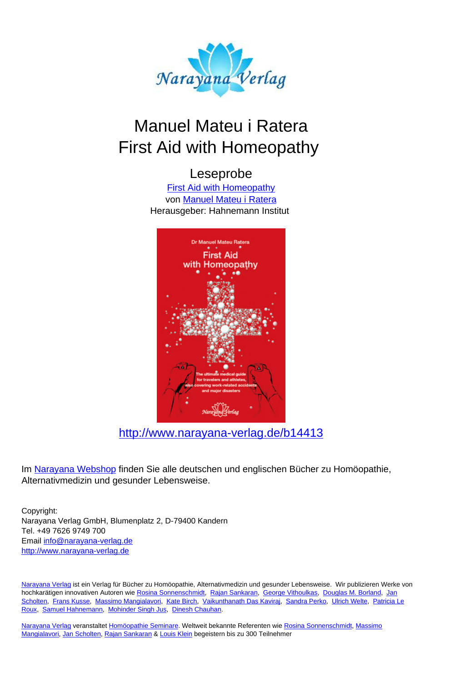

# Manuel Mateu i Ratera First Aid with Homeopathy

#### Leseprobe

[First Aid with Homeopathy](http://www.narayana-verlag.de/First-Aid-with-Homeopathy-Manuel-Mateu-i-Ratera/b14413/partner/leseprobe) von [Manuel Mateu i Ratera](http://www.narayana-verlag.de/Manuel-Mateu-i-Ratera/a547/partner/leseprobe) Herausgeber: Hahnemann Institut



[http://www.narayana-verlag.de/b14413](http://www.narayana-verlag.de/First-Aid-with-Homeopathy-Manuel-Mateu-i-Ratera/b14413/partner/leseprobe)

Im [Narayana Webshop](http://www.narayana-verlag.de/partner/leseprobe) finden Sie alle deutschen und englischen Bücher zu Homöopathie, Alternativmedizin und gesunder Lebensweise.

Copyright: Narayana Verlag GmbH, Blumenplatz 2, D-79400 Kandern Tel. +49 7626 9749 700 Email [info@narayana-verlag.de](mailto:info@narayana-verlag.de) [http://www.narayana-verlag.de](http://www.narayana-verlag.de/partner/leseprobe)

[Narayana Verlag](http://www.narayana-verlag.de/partner/leseprobe) ist ein Verlag für Bücher zu Homöopathie, Alternativmedizin und gesunder Lebensweise. Wir publizieren Werke von hochkarätigen innovativen Autoren wie [Rosina Sonnenschmidt,](http://www.narayana-verlag.de/Rosina-Sonnenschmidt/a835/partner/leseprobe) [Rajan Sankaran,](http://www.narayana-verlag.de/Rajan-Sankaran/a747/partner/leseprobe) [George Vithoulkas](http://www.narayana-verlag.de/George-Vithoulkas/a917/partner/leseprobe), [Douglas M. Borland](http://www.narayana-verlag.de/Douglas-M-Borland/a86/partner/leseprobe), [Jan](http://www.narayana-verlag.de/Jan-Scholten/a777/partner/leseprobe) [Scholten,](http://www.narayana-verlag.de/Jan-Scholten/a777/partner/leseprobe) [Frans Kusse,](http://www.narayana-verlag.de/Frans-Kusse/a1305/partner/leseprobe) [Massimo Mangialavori,](http://www.narayana-verlag.de/Massimo-Mangialavori/a538/partner/leseprobe) [Kate Birch](http://www.narayana-verlag.de/Kate-Birch/a1439/partner/leseprobe), [Vaikunthanath Das Kaviraj](http://www.narayana-verlag.de/Vaikunthanath-Das-Kaviraj/a1476/partner/leseprobe), [Sandra Perko,](http://www.narayana-verlag.de/Sandra-Perko/a642/partner/leseprobe) [Ulrich Welte](http://www.narayana-verlag.de/Ulrich-Welte/a935/partner/leseprobe), [Patricia Le](http://www.narayana-verlag.de/Patricia-Le-Roux/a1230/partner/leseprobe) [Roux,](http://www.narayana-verlag.de/Patricia-Le-Roux/a1230/partner/leseprobe) [Samuel Hahnemann,](http://www.narayana-verlag.de/Samuel-Hahnemann/a329/partner/leseprobe) [Mohinder Singh Jus](http://www.narayana-verlag.de/Mohinder-Singh-Jus/a417/partner/leseprobe), [Dinesh Chauhan](http://www.narayana-verlag.de/Dinesh-Chauhan/a123/partner/leseprobe).

<u>Narayana Verlag</u> veranstaltet <u>Homöopathie Seminare</u>. Weltweit bekannte Referenten wie <u>[Rosina Sonnenschmidt](http://www.narayana-verlag.de/Rosina-Sonnenschmidt/a835/partner/leseprobe), [Massimo](http://www.narayana-verlag.de/Massimo-Mangialavori/a538/partner/leseprobe)</u><br><u>[Mangialavori,](http://www.narayana-verlag.de/Massimo-Mangialavori/a538/partner/leseprobe) [Jan Scholten](http://www.narayana-verlag.de/Jan-Scholten/a777/partner/leseprobe), Rajan Sankaran</u> & <u>Louis Klein</u> begeistern bis zu 300 Teilnehmer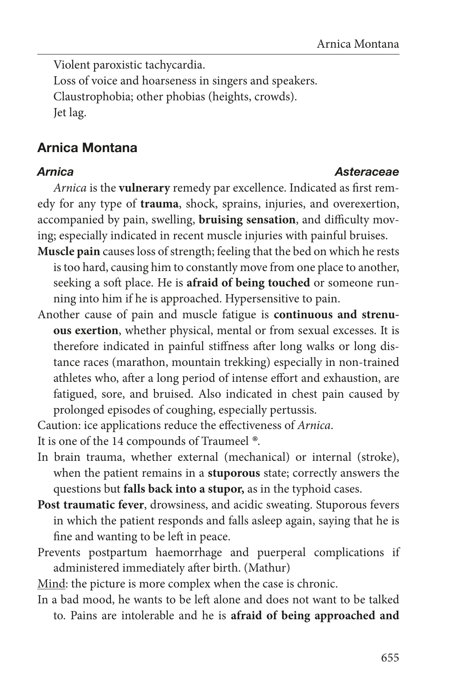Violent paroxistic tachycardia. Loss of voice and hoarseness in singers and speakers. Claustrophobia; other phobias (heights, crowds). Jet lag.

## Arnica Montana

*Arnica* is the **vulnerary** remedy par excellence. Indicated as first remedy for any type of **trauma**, shock, sprains, injuries, and overexertion, accompanied by pain, swelling, **bruising sensation**, and difficulty moving; especially indicated in recent muscle injuries with painful bruises.

- **Muscle pain** causes loss of strength; feeling that the bed on which he rests is too hard, causing him to constantly move from one place to another, seeking a soft place. He is **afraid of being touched** or someone running into him if he is approached. Hypersensitive to pain.
- Another cause of pain and muscle fatigue is **continuous and strenuous exertion**, whether physical, mental or from sexual excesses. It is therefore indicated in painful stiffness after long walks or long distance races (marathon, mountain trekking) especially in non-trained athletes who, after a long period of intense effort and exhaustion, are fatigued, sore, and bruised. Also indicated in chest pain caused by prolonged episodes of coughing, especially pertussis.

Caution: ice applications reduce the effectiveness of *Arnica*.

It is one of the 14 compounds of Traumeel *®*.

- In brain trauma, whether external (mechanical) or internal (stroke), when the patient remains in a **stuporous** state; correctly answers the questions but **falls back into a stupor,** as in the typhoid cases.
- **Post traumatic fever**, drowsiness, and acidic sweating. Stuporous fevers in which the patient responds and falls asleep again, saying that he is fine and wanting to be left in peace.
- Prevents postpartum haemorrhage and puerperal complications if administered immediately after birth. (Mathur)

Mind: the picture is more complex when the case is chronic.

In a bad mood, he wants to be left alone and does not want to be talked to. Pains are intolerable and he is **afraid of being approached and** 

### *Arnica Asteraceae*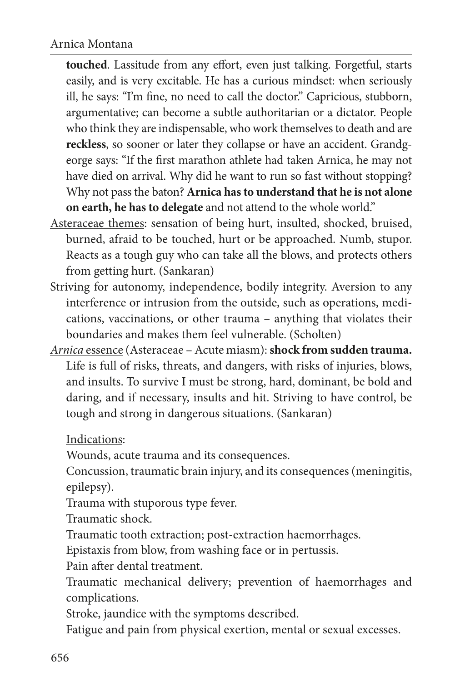**touched**. Lassitude from any effort, even just talking. Forgetful, starts easily, and is very excitable. He has a curious mindset: when seriously ill, he says: "I'm fine, no need to call the doctor." Capricious, stubborn, argumentative; can become a subtle authoritarian or a dictator. People who think they are indispensable, who work themselves to death and are **reckless**, so sooner or later they collapse or have an accident. Grandgeorge says: "If the first marathon athlete had taken Arnica, he may not have died on arrival. Why did he want to run so fast without stopping? Why not pass the baton? **Arnica has to understand that he is not alone on earth, he has to delegate** and not attend to the whole world."

- Asteraceae themes: sensation of being hurt, insulted, shocked, bruised, burned, afraid to be touched, hurt or be approached. Numb, stupor. Reacts as a tough guy who can take all the blows, and protects others from getting hurt. (Sankaran)
- Striving for autonomy, independence, bodily integrity. Aversion to any interference or intrusion from the outside, such as operations, medications, vaccinations, or other trauma – anything that violates their boundaries and makes them feel vulnerable. (Scholten)
- *Arnica* essence (Asteraceae Acute miasm): **shock from sudden trauma.**  Life is full of risks, threats, and dangers, with risks of injuries, blows, and insults. To survive I must be strong, hard, dominant, be bold and daring, and if necessary, insults and hit. Striving to have control, be tough and strong in dangerous situations. (Sankaran)

Indications:

Wounds, acute trauma and its consequences.

Concussion, traumatic brain injury, and its consequences (meningitis, epilepsy).

Trauma with stuporous type fever.

Traumatic shock.

Traumatic tooth extraction; post-extraction haemorrhages.

Epistaxis from blow, from washing face or in pertussis.

Pain after dental treatment.

Traumatic mechanical delivery; prevention of haemorrhages and complications.

Stroke, jaundice with the symptoms described.

Fatigue and pain from physical exertion, mental or sexual excesses.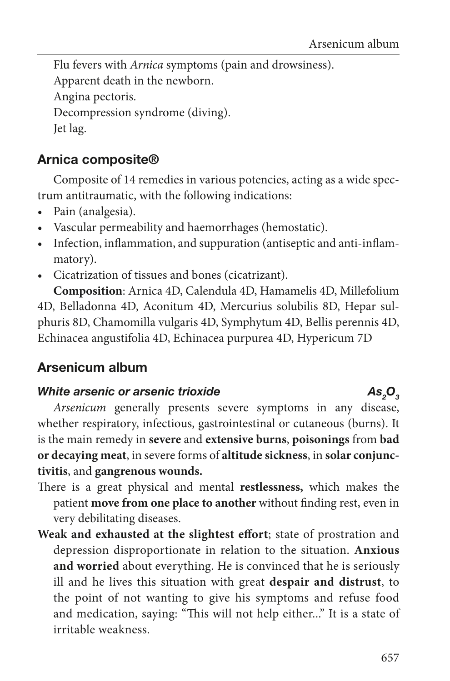Flu fevers with *Arnica* symptoms (pain and drowsiness). Apparent death in the newborn. Angina pectoris. Decompression syndrome (diving). Jet lag.

### Arnica composite®

Composite of 14 remedies in various potencies, acting as a wide spectrum antitraumatic, with the following indications:

- Pain (analgesia).
- Vascular permeability and haemorrhages (hemostatic).
- Infection, inflammation, and suppuration (antiseptic and anti-inflammatory).
- Cicatrization of tissues and bones (cicatrizant).

**Composition**: Arnica 4D, Calendula 4D, Hamamelis 4D, Millefolium 4D, Belladonna 4D, Aconitum 4D, Mercurius solubilis 8D, Hepar sulphuris 8D, Chamomilla vulgaris 4D, Symphytum 4D, Bellis perennis 4D, Echinacea angustifolia 4D, Echinacea purpurea 4D, Hypericum 7D

## Arsenicum album

#### *White arsenic or arsenic trioxide*

*Arsenicum* generally presents severe symptoms in any disease, whether respiratory, infectious, gastrointestinal or cutaneous (burns). It is the main remedy in **severe** and **extensive burns**, **poisonings** from **bad or decaying meat**, in severe forms of **altitude sickness**, in **solar conjunctivitis**, and **gangrenous wounds.**

- There is a great physical and mental **restlessness,** which makes the patient **move from one place to another** without finding rest, even in very debilitating diseases.
- **Weak and exhausted at the slightest effort**; state of prostration and depression disproportionate in relation to the situation. **Anxious and worried** about everything. He is convinced that he is seriously ill and he lives this situation with great **despair and distrust**, to the point of not wanting to give his symptoms and refuse food and medication, saying: "This will not help either..." It is a state of irritable weakness.

As 0<sub>2</sub>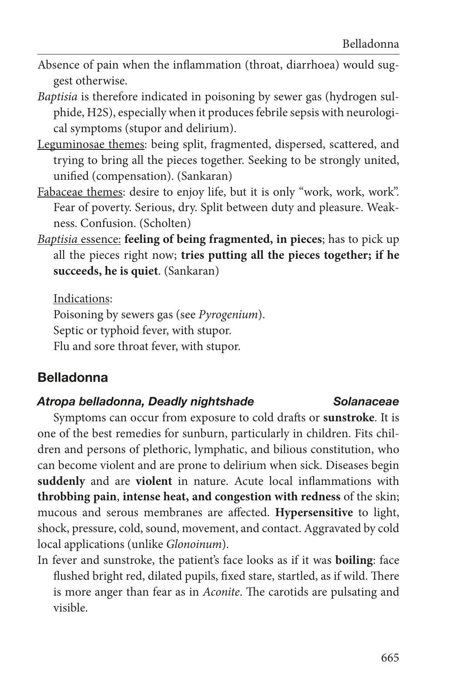- Absence of pain when the inflammation (throat, diarrhoea) would suggest otherwise.
- *Baptisia* is therefore indicated in poisoning by sewer gas (hydrogen sulphide, H2S), especially when it produces febrile sepsis with neurological symptoms (stupor and delirium).
- Leguminosae themes: being split, fragmented, dispersed, scattered, and trying to bring all the pieces together. Seeking to be strongly united, unified (compensation). (Sankaran)
- Fabaceae themes: desire to enjoy life, but it is only "work, work, work". Fear of poverty. Serious, dry. Split between duty and pleasure. Weakness. Confusion. (Scholten)
- *Baptisia* essence: **feeling of being fragmented, in pieces**; has to pick up all the pieces right now; **tries putting all the pieces together; if he succeeds, he is quiet**. (Sankaran)

Indications: Poisoning by sewers gas (see *Pyrogenium*). Septic or typhoid fever, with stupor. Flu and sore throat fever, with stupor.

### Belladonna

#### *Atropa belladonna, Deadly nightshade Solanaceae*

Symptoms can occur from exposure to cold drafts or **sunstroke**. It is one of the best remedies for sunburn, particularly in children. Fits children and persons of plethoric, lymphatic, and bilious constitution, who can become violent and are prone to delirium when sick. Diseases begin **suddenly** and are **violent** in nature. Acute local inflammations with **throbbing pain**, **intense heat, and congestion with redness** of the skin; mucous and serous membranes are affected. **Hypersensitive** to light, shock, pressure, cold, sound, movement, and contact. Aggravated by cold local applications (unlike *Glonoinum*).

In fever and sunstroke, the patient's face looks as if it was **boiling**: face flushed bright red, dilated pupils, fixed stare, startled, as if wild. There is more anger than fear as in *Aconite*. The carotids are pulsating and visible.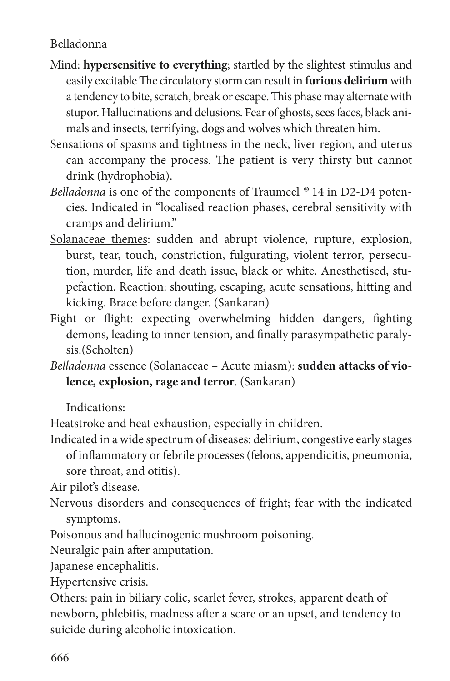- Mind: **hypersensitive to everything**; startled by the slightest stimulus and easily excitable The circulatory storm can result in **furious delirium** with a tendency to bite, scratch, break or escape. This phase may alternate with stupor. Hallucinations and delusions. Fear of ghosts, sees faces, black animals and insects, terrifying, dogs and wolves which threaten him.
- Sensations of spasms and tightness in the neck, liver region, and uterus can accompany the process. The patient is very thirsty but cannot drink (hydrophobia).
- *Belladonna* is one of the components of Traumeel *®* 14 in D2-D4 potencies. Indicated in "localised reaction phases, cerebral sensitivity with cramps and delirium."
- Solanaceae themes: sudden and abrupt violence, rupture, explosion, burst, tear, touch, constriction, fulgurating, violent terror, persecution, murder, life and death issue, black or white. Anesthetised, stupefaction. Reaction: shouting, escaping, acute sensations, hitting and kicking. Brace before danger. (Sankaran)
- Fight or flight: expecting overwhelming hidden dangers, fighting demons, leading to inner tension, and finally parasympathetic paralysis.(Scholten)
- *Belladonna* essence (Solanaceae Acute miasm): **sudden attacks of violence, explosion, rage and terror**. (Sankaran)

Indications:

Heatstroke and heat exhaustion, especially in children.

Indicated in a wide spectrum of diseases: delirium, congestive early stages of inflammatory or febrile processes (felons, appendicitis, pneumonia, sore throat, and otitis).

Air pilot's disease.

- Nervous disorders and consequences of fright; fear with the indicated symptoms.
- Poisonous and hallucinogenic mushroom poisoning.

Neuralgic pain after amputation.

Japanese encephalitis.

Hypertensive crisis.

Others: pain in biliary colic, scarlet fever, strokes, apparent death of newborn, phlebitis, madness after a scare or an upset, and tendency to suicide during alcoholic intoxication.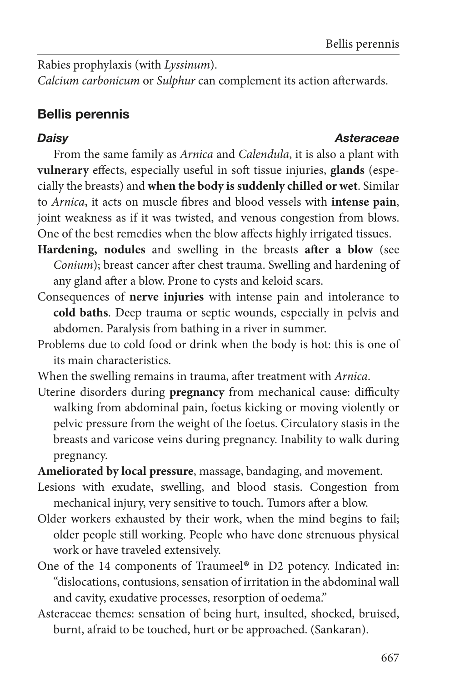Rabies prophylaxis (with *Lyssinum*).

*Calcium carbonicum* or *Sulphur* can complement its action afterwards.

# Bellis perennis

#### *Daisy Asteraceae*

From the same family as *Arnica* and *Calendula*, it is also a plant with **vulnerary** effects, especially useful in soft tissue injuries, **glands** (especially the breasts) and **when the body is suddenly chilled or wet**. Similar to *Arnica*, it acts on muscle fibres and blood vessels with **intense pain**, joint weakness as if it was twisted, and venous congestion from blows. One of the best remedies when the blow affects highly irrigated tissues.

- **Hardening, nodules** and swelling in the breasts **after a blow** (see *Conium*); breast cancer after chest trauma. Swelling and hardening of any gland after a blow. Prone to cysts and keloid scars.
- Consequences of **nerve injuries** with intense pain and intolerance to **cold baths**. Deep trauma or septic wounds, especially in pelvis and abdomen. Paralysis from bathing in a river in summer.
- Problems due to cold food or drink when the body is hot: this is one of its main characteristics.
- When the swelling remains in trauma, after treatment with *Arnica*.
- Uterine disorders during **pregnancy** from mechanical cause: difficulty walking from abdominal pain, foetus kicking or moving violently or pelvic pressure from the weight of the foetus. Circulatory stasis in the breasts and varicose veins during pregnancy. Inability to walk during pregnancy.

**Ameliorated by local pressure**, massage, bandaging, and movement.

- Lesions with exudate, swelling, and blood stasis. Congestion from mechanical injury, very sensitive to touch. Tumors after a blow.
- Older workers exhausted by their work, when the mind begins to fail; older people still working. People who have done strenuous physical work or have traveled extensively.
- One of the 14 components of Traumeel*®* in D2 potency. Indicated in: "dislocations, contusions, sensation of irritation in the abdominal wall and cavity, exudative processes, resorption of oedema."
- Asteraceae themes: sensation of being hurt, insulted, shocked, bruised, burnt, afraid to be touched, hurt or be approached. (Sankaran).